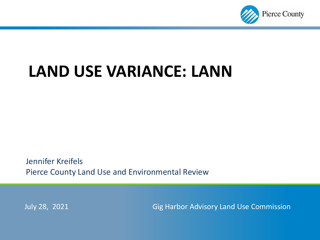

# **LAND USE VARIANCE: LANN**

Jennifer Kreifels Pierce County Land Use and Environmental Review

July 28, 2021 Gig Harbor Advisory Land Use Commission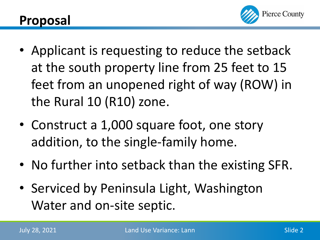

- Applicant is requesting to reduce the setback at the south property line from 25 feet to 15 feet from an unopened right of way (ROW) in the Rural 10 (R10) zone.
- Construct a 1,000 square foot, one story addition, to the single-family home.
- No further into setback than the existing SFR.
- Serviced by Peninsula Light, Washington Water and on-site septic.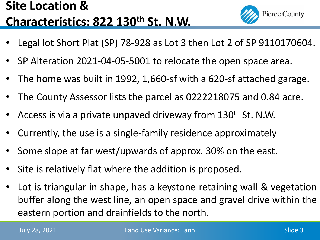### **Site Location & Characteristics: 822 130th St. N.W.**

- **Pierce County**
- Legal lot Short Plat (SP) 78-928 as Lot 3 then Lot 2 of SP 9110170604.
- SP Alteration 2021-04-05-5001 to relocate the open space area.
- The home was built in 1992, 1,660-sf with a 620-sf attached garage.
- The County Assessor lists the parcel as 0222218075 and 0.84 acre.
- Access is via a private unpaved driveway from 130<sup>th</sup> St. N.W.
- Currently, the use is a single-family residence approximately
- Some slope at far west/upwards of approx. 30% on the east.
- Site is relatively flat where the addition is proposed.
- Lot is triangular in shape, has a keystone retaining wall & vegetation buffer along the west line, an open space and gravel drive within the eastern portion and drainfields to the north.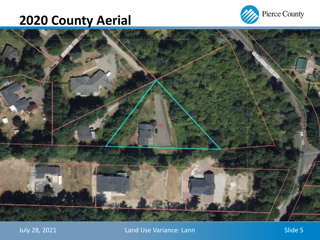## **2020 County Aerial**





July 28, 2021 **Land Use Variance: Lann** Character Controller Slide 5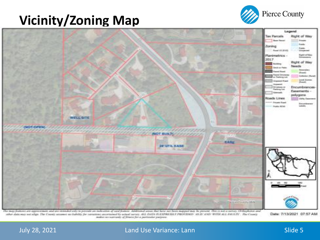### **Vicinity/Zoning Map**





The maje features are approximate and are intended only to previde an indication of said feature. Additional areas that have not been mapped may be present. This is not a survey. Orthophotos and also data not set adign. The County assumes an Inhibity for suisances anientalised by actual survey. ALL DATE IS EXPRESSET PROTIVED: 'AS IS 'AND' WITH ALL FALLITY. The County maker an surranty of literal for a particular paryone.

Date: 7/13/2021 07:57 AM

#### July 28, 2021 **Land Use Variance: Lann** Suite 5 and Slide 5 and Slide 5 and Slide 5 and Slide 5 and Slide 5 and Slide 5 and Slide 5 and Slide 5 and Slide 5 and Slide 5 and Slide 5 and Slide 5 and Slide 5 and Slide 5 and Sl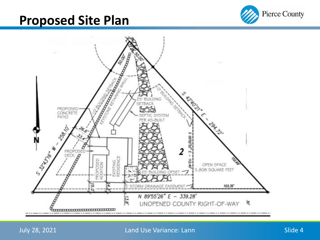### **Proposed Site Plan**





### July 28, 2021 **Land Use Variance: Lann** Slide 4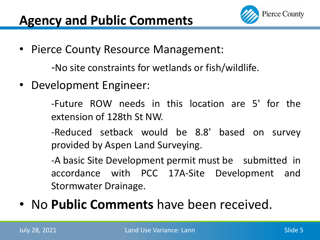

• Pierce County Resource Management:

-No site constraints for wetlands or fish/wildlife.

• Development Engineer:

-Future ROW needs in this location are 5' for the extension of 128th St NW.

-Reduced setback would be 8.8' based on survey provided by Aspen Land Surveying.

-A basic Site Development permit must be submitted in accordance with PCC 17A-Site Development and Stormwater Drainage.

• No **Public Comments** have been received.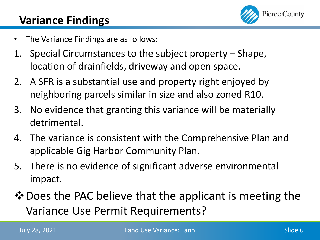

### **Variance Findings**

- The Variance Findings are as follows:
- 1. Special Circumstances to the subject property Shape, location of drainfields, driveway and open space.
- 2. A SFR is a substantial use and property right enjoyed by neighboring parcels similar in size and also zoned R10.
- 3. No evidence that granting this variance will be materially detrimental.
- 4. The variance is consistent with the Comprehensive Plan and applicable Gig Harbor Community Plan.
- 5. There is no evidence of significant adverse environmental impact.
- $\diamond$  Does the PAC believe that the applicant is meeting the Variance Use Permit Requirements?